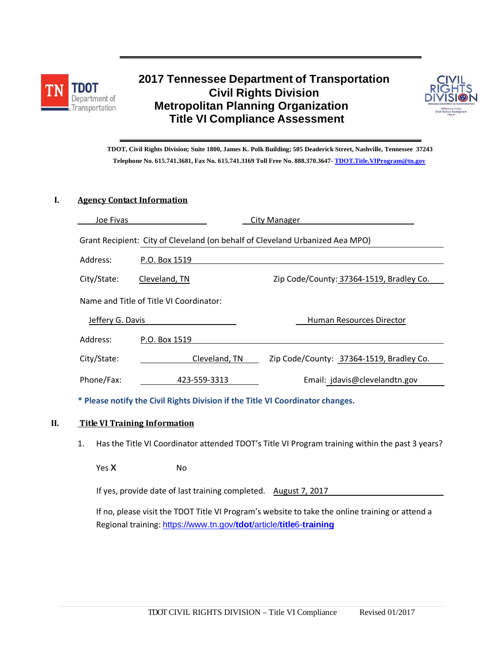



 **TDOT, Civil Rights Division; Suite 1800, James K. Polk Building; 505 Deaderick Street, Nashville, Tennessee 37243 Telephone No. 615.741.3681, Fax No. 615.741.3169 Toll Free No. 888.370.3647- [TDOT.Title.VIProgram@tn.gov](mailto:TDOT.Title.VIProgram@tn.gov)**

#### **I. Agency Contact Information**

| Joe Fivas                                                                     | City Manager  |                                          |  |  |  |
|-------------------------------------------------------------------------------|---------------|------------------------------------------|--|--|--|
| Grant Recipient: City of Cleveland (on behalf of Cleveland Urbanized Aea MPO) |               |                                          |  |  |  |
| Address:                                                                      | P.O. Box 1519 |                                          |  |  |  |
| City/State:                                                                   | Cleveland, TN | Zip Code/County: 37364-1519, Bradley Co. |  |  |  |
| Name and Title of Title VI Coordinator:                                       |               |                                          |  |  |  |
| Jeffery G. Davis                                                              |               | Human Resources Director                 |  |  |  |
| Address:                                                                      | P.O. Box 1519 |                                          |  |  |  |
| City/State:                                                                   | Cleveland, TN | Zip Code/County: 37364-1519, Bradley Co. |  |  |  |
| Phone/Fax:                                                                    | 423-559-3313  | Email: jdavis@clevelandtn.gov            |  |  |  |

 **\* Please notify the Civil Rights Division if the Title VI Coordinator changes.**

#### **II. Title VI Training Information**

1. Has the Title VI Coordinator attended TDOT's Title VI Program training within the past 3 years?

Yes X No

If yes, provide date of last training completed. August 7, 2017

If no, please visit the TDOT Title VI Program's website to take the online training or attend a Regional training: [https://www.tn.gov/](https://www.tn.gov/tdot/article/title6-training)**tdot**/article/**title**6-**training**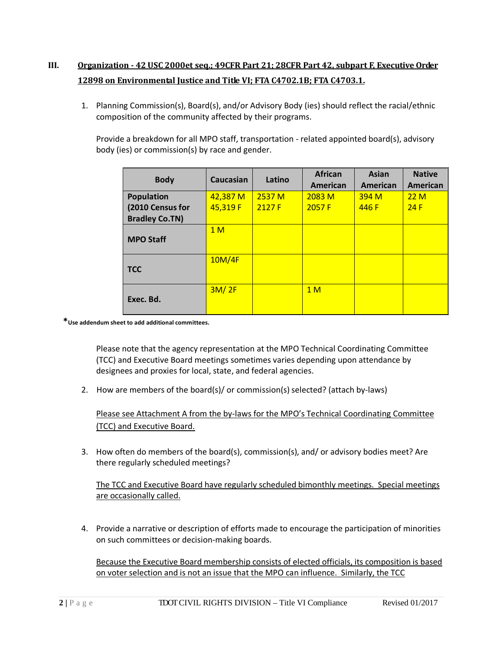## **III. Organization - 42 USC 2000et seq.; 49CFR Part 21; 28CFR Part 42, subpart F, Executive Order 12898 on Environmental Justice and Title VI; FTA C4702.1B; FTA C4703.1.**

1. Planning Commission(s), Board(s), and/or Advisory Body (ies) should reflect the racial/ethnic composition of the community affected by their programs.

Provide a breakdown for all MPO staff, transportation - related appointed board(s), advisory body (ies) or commission(s) by race and gender.

| <b>Body</b>           | Caucasian      | Latino | <b>African</b><br>American | <b>Asian</b><br>American | <b>Native</b><br>American |
|-----------------------|----------------|--------|----------------------------|--------------------------|---------------------------|
| <b>Population</b>     | 42,387 M       | 2537 M | 2083M                      | 394 <sub>M</sub>         | 22M                       |
| (2010 Census for      | 45,319 F       | 2127F  | 2057 F                     | 446 F                    | 24F                       |
| <b>Bradley Co.TN)</b> |                |        |                            |                          |                           |
| <b>MPO Staff</b>      | 1 <sub>M</sub> |        |                            |                          |                           |
| <b>TCC</b>            | 10M/4F         |        |                            |                          |                           |
| Exec. Bd.             | 3M/2F          |        | 1 <sub>M</sub>             |                          |                           |

**\*Use addendum sheet to add additional committees.**

Please note that the agency representation at the MPO Technical Coordinating Committee (TCC) and Executive Board meetings sometimes varies depending upon attendance by designees and proxies for local, state, and federal agencies.

2. How are members of the board(s)/ or commission(s) selected? (attach by-laws)

Please see Attachment A from the by-laws for the MPO's Technical Coordinating Committee (TCC) and Executive Board.

3. How often do members of the board(s), commission(s), and/ or advisory bodies meet? Are there regularly scheduled meetings?

The TCC and Executive Board have regularly scheduled bimonthly meetings. Special meetings are occasionally called.

4. Provide a narrative or description of efforts made to encourage the participation of minorities on such committees or decision-making boards.

Because the Executive Board membership consists of elected officials, its composition is based on voter selection and is not an issue that the MPO can influence. Similarly, the TCC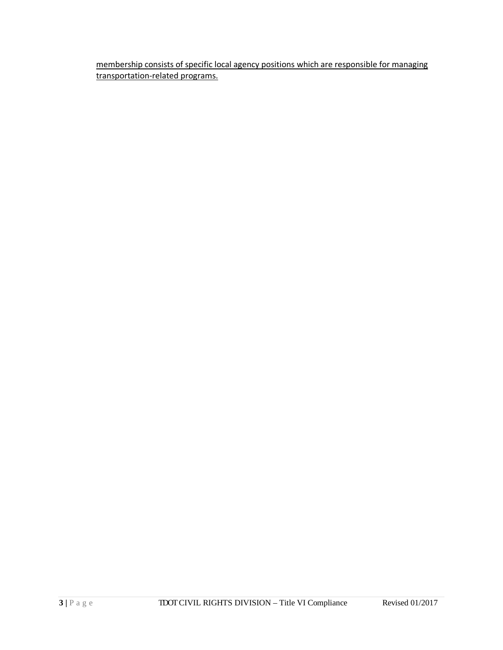membership consists of specific local agency positions which are responsible for managing transportation-related programs.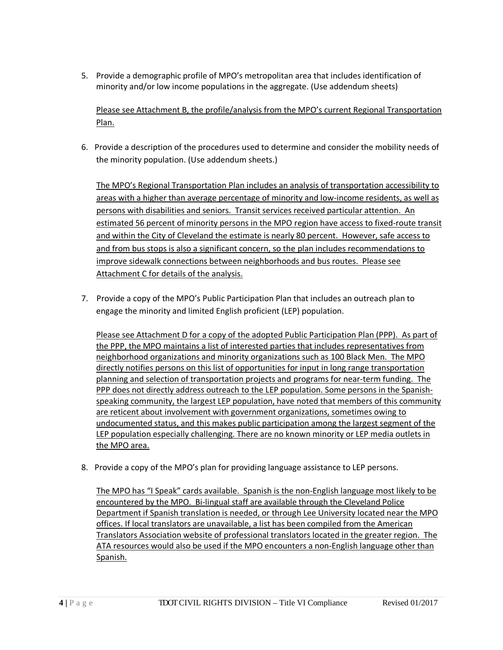5. Provide a demographic profile of MPO's metropolitan area that includes identification of minority and/or low income populations in the aggregate. (Use addendum sheets)

Please see Attachment B, the profile/analysis from the MPO's current Regional Transportation Plan.

6. Provide a description of the procedures used to determine and consider the mobility needs of the minority population. (Use addendum sheets.)

The MPO's Regional Transportation Plan includes an analysis of transportation accessibility to areas with a higher than average percentage of minority and low-income residents, as well as persons with disabilities and seniors. Transit services received particular attention. An estimated 56 percent of minority persons in the MPO region have access to fixed-route transit and within the City of Cleveland the estimate is nearly 80 percent. However, safe access to and from bus stops is also a significant concern, so the plan includes recommendations to improve sidewalk connections between neighborhoods and bus routes. Please see Attachment C for details of the analysis.

7. Provide a copy of the MPO's Public Participation Plan that includes an outreach plan to engage the minority and limited English proficient (LEP) population.

Please see Attachment D for a copy of the adopted Public Participation Plan (PPP). As part of the PPP, the MPO maintains a list of interested parties that includes representatives from neighborhood organizations and minority organizations such as 100 Black Men. The MPO directly notifies persons on this list of opportunities for input in long range transportation planning and selection of transportation projects and programs for near-term funding. The PPP does not directly address outreach to the LEP population. Some persons in the Spanishspeaking community, the largest LEP population, have noted that members of this community are reticent about involvement with government organizations, sometimes owing to undocumented status, and this makes public participation among the largest segment of the LEP population especially challenging. There are no known minority or LEP media outlets in the MPO area.

8. Provide a copy of the MPO's plan for providing language assistance to LEP persons.

The MPO has "I Speak" cards available. Spanish is the non-English language most likely to be encountered by the MPO. Bi-lingual staff are available through the Cleveland Police Department if Spanish translation is needed, or through Lee University located near the MPO offices. If local translators are unavailable, a list has been compiled from the American Translators Association website of professional translators located in the greater region. The ATA resources would also be used if the MPO encounters a non-English language other than Spanish.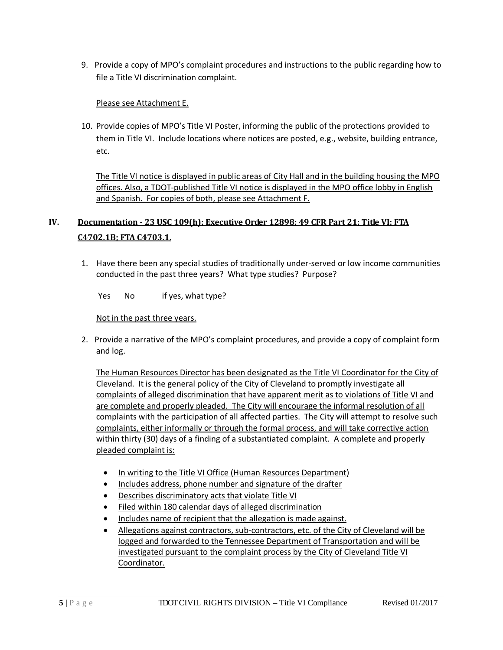9. Provide a copy of MPO's complaint procedures and instructions to the public regarding how to file a Title VI discrimination complaint.

### Please see Attachment E.

10. Provide copies of MPO's Title VI Poster, informing the public of the protections provided to them in Title VI. Include locations where notices are posted, e.g., website, building entrance, etc.

The Title VI notice is displayed in public areas of City Hall and in the building housing the MPO offices. Also, a TDOT-published Title VI notice is displayed in the MPO office lobby in English and Spanish. For copies of both, please see Attachment F.

# **IV. Documentation - 23 USC 109(h); Executive Order 12898; 49 CFR Part 21; Title VI; FTA C4702.1B; FTA C4703.1.**

1. Have there been any special studies of traditionally under-served or low income communities conducted in the past three years? What type studies? Purpose?

Yes No if yes, what type?

### Not in the past three years.

2. Provide a narrative of the MPO's complaint procedures, and provide a copy of complaint form and log.

The Human Resources Director has been designated as the Title VI Coordinator for the City of Cleveland. It is the general policy of the City of Cleveland to promptly investigate all complaints of alleged discrimination that have apparent merit as to violations of Title VI and are complete and properly pleaded. The City will encourage the informal resolution of all complaints with the participation of all affected parties. The City will attempt to resolve such complaints, either informally or through the formal process, and will take corrective action within thirty (30) days of a finding of a substantiated complaint. A complete and properly pleaded complaint is:

- In writing to the Title VI Office (Human Resources Department)
- Includes address, phone number and signature of the drafter
- Describes discriminatory acts that violate Title VI
- Filed within 180 calendar days of alleged discrimination
- Includes name of recipient that the allegation is made against.
- Allegations against contractors, sub-contractors, etc. of the City of Cleveland will be logged and forwarded to the Tennessee Department of Transportation and will be investigated pursuant to the complaint process by the City of Cleveland Title VI Coordinator.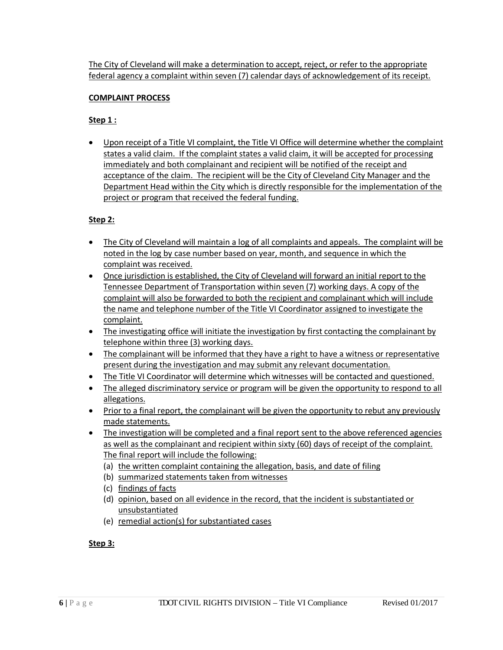The City of Cleveland will make a determination to accept, reject, or refer to the appropriate federal agency a complaint within seven (7) calendar days of acknowledgement of its receipt.

### **COMPLAINT PROCESS**

## **Step 1 :**

• Upon receipt of a Title VI complaint, the Title VI Office will determine whether the complaint states a valid claim. If the complaint states a valid claim, it will be accepted for processing immediately and both complainant and recipient will be notified of the receipt and acceptance of the claim. The recipient will be the City of Cleveland City Manager and the Department Head within the City which is directly responsible for the implementation of the project or program that received the federal funding.

## **Step 2:**

- The City of Cleveland will maintain a log of all complaints and appeals. The complaint will be noted in the log by case number based on year, month, and sequence in which the complaint was received.
- Once jurisdiction is established, the City of Cleveland will forward an initial report to the Tennessee Department of Transportation within seven (7) working days. A copy of the complaint will also be forwarded to both the recipient and complainant which will include the name and telephone number of the Title VI Coordinator assigned to investigate the complaint.
- The investigating office will initiate the investigation by first contacting the complainant by telephone within three (3) working days.
- The complainant will be informed that they have a right to have a witness or representative present during the investigation and may submit any relevant documentation.
- The Title VI Coordinator will determine which witnesses will be contacted and questioned.
- The alleged discriminatory service or program will be given the opportunity to respond to all allegations.
- Prior to a final report, the complainant will be given the opportunity to rebut any previously made statements.
- The investigation will be completed and a final report sent to the above referenced agencies as well as the complainant and recipient within sixty (60) days of receipt of the complaint. The final report will include the following:
	- (a) the written complaint containing the allegation, basis, and date of filing
	- (b) summarized statements taken from witnesses
	- (c) findings of facts
	- (d) opinion, based on all evidence in the record, that the incident is substantiated or unsubstantiated
	- (e) remedial action(s) for substantiated cases

### **Step 3:**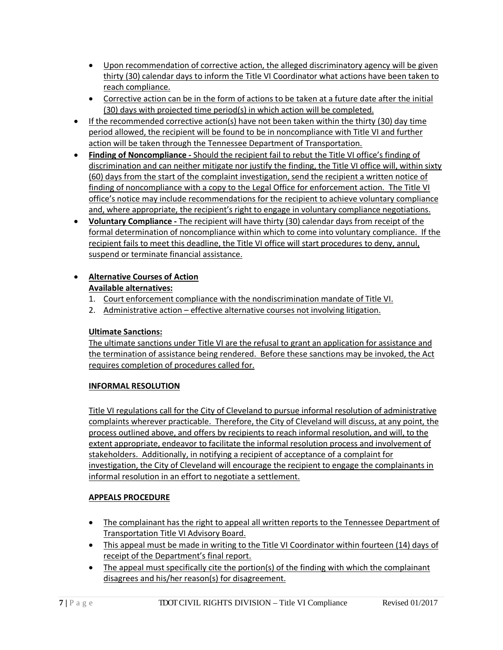- Upon recommendation of corrective action, the alleged discriminatory agency will be given thirty (30) calendar days to inform the Title VI Coordinator what actions have been taken to reach compliance.
- Corrective action can be in the form of actions to be taken at a future date after the initial (30) days with projected time period(s) in which action will be completed.
- If the recommended corrective action(s) have not been taken within the thirty (30) day time period allowed, the recipient will be found to be in noncompliance with Title VI and further action will be taken through the Tennessee Department of Transportation.
- **Finding of Noncompliance -** Should the recipient fail to rebut the Title VI office's finding of discrimination and can neither mitigate nor justify the finding, the Title VI office will, within sixty (60) days from the start of the complaint investigation, send the recipient a written notice of finding of noncompliance with a copy to the Legal Office for enforcement action. The Title VI office's notice may include recommendations for the recipient to achieve voluntary compliance and, where appropriate, the recipient's right to engage in voluntary compliance negotiations.
- **Voluntary Compliance -** The recipient will have thirty (30) calendar days from receipt of the formal determination of noncompliance within which to come into voluntary compliance. If the recipient fails to meet this deadline, the Title VI office will start procedures to deny, annul, suspend or terminate financial assistance.

## • **Alternative Courses of Action Available alternatives:**

- 1. Court enforcement compliance with the nondiscrimination mandate of Title VI.
- 2. Administrative action effective alternative courses not involving litigation.

## **Ultimate Sanctions:**

The ultimate sanctions under Title VI are the refusal to grant an application for assistance and the termination of assistance being rendered. Before these sanctions may be invoked, the Act requires completion of procedures called for.

## **INFORMAL RESOLUTION**

Title VI regulations call for the City of Cleveland to pursue informal resolution of administrative complaints wherever practicable. Therefore, the City of Cleveland will discuss, at any point, the process outlined above, and offers by recipients to reach informal resolution, and will, to the extent appropriate, endeavor to facilitate the informal resolution process and involvement of stakeholders. Additionally, in notifying a recipient of acceptance of a complaint for investigation, the City of Cleveland will encourage the recipient to engage the complainants in informal resolution in an effort to negotiate a settlement.

## **APPEALS PROCEDURE**

- The complainant has the right to appeal all written reports to the Tennessee Department of Transportation Title VI Advisory Board.
- This appeal must be made in writing to the Title VI Coordinator within fourteen (14) days of receipt of the Department's final report.
- The appeal must specifically cite the portion(s) of the finding with which the complainant disagrees and his/her reason(s) for disagreement.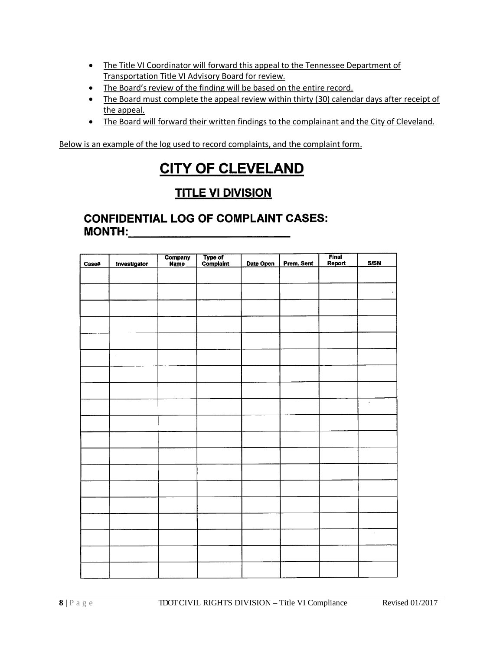- The Title VI Coordinator will forward this appeal to the Tennessee Department of Transportation Title VI Advisory Board for review.
- The Board's review of the finding will be based on the entire record.
- The Board must complete the appeal review within thirty (30) calendar days after receipt of the appeal.
- The Board will forward their written findings to the complainant and the City of Cleveland.

Below is an example of the log used to record complaints, and the complaint form.

# **CITY OF CLEVELAND**

# **TITLE VI DIVISION**

## **CONFIDENTIAL LOG OF COMPLAINT CASES: MONTH:**

| Case# | Investigator | Company<br>Name | Type of<br>Complaint | Date Open | Prem. Sent | Final<br>Report | <b>S/SN</b> |
|-------|--------------|-----------------|----------------------|-----------|------------|-----------------|-------------|
|       |              |                 |                      |           |            |                 |             |
|       |              |                 |                      |           |            |                 | $\cdot$ .   |
|       |              |                 |                      |           |            |                 |             |
|       |              |                 |                      |           |            |                 |             |
|       |              |                 |                      |           |            |                 |             |
|       |              |                 |                      |           |            |                 |             |
|       | $\cdot$      |                 |                      |           |            |                 |             |
|       |              |                 |                      |           |            |                 |             |
|       |              |                 |                      |           |            |                 |             |
|       |              |                 |                      |           |            |                 | $\cdot$     |
|       |              |                 |                      |           |            |                 |             |
|       |              |                 |                      |           |            |                 |             |
|       |              |                 |                      |           |            |                 |             |
|       |              |                 |                      |           |            |                 |             |
|       |              |                 |                      |           |            |                 |             |
|       |              |                 |                      |           |            |                 |             |
|       |              |                 |                      |           |            |                 |             |
|       |              |                 |                      |           |            |                 | $\epsilon$  |
|       |              |                 |                      |           |            |                 |             |
|       |              |                 |                      |           |            |                 |             |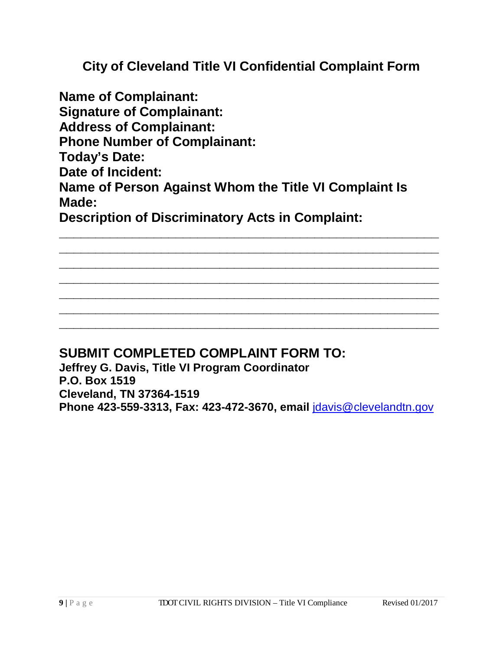**City of Cleveland Title VI Confidential Complaint Form**

**Name of Complainant: Signature of Complainant: Address of Complainant: Phone Number of Complainant: Today's Date: Date of Incident: Name of Person Against Whom the Title VI Complaint Is Made: Description of Discriminatory Acts in Complaint:**

**\_\_\_\_\_\_\_\_\_\_\_\_\_\_\_\_\_\_\_\_\_\_\_\_\_\_\_\_\_\_\_\_\_\_\_\_\_\_\_\_\_\_\_\_\_\_\_\_\_\_\_\_ \_\_\_\_\_\_\_\_\_\_\_\_\_\_\_\_\_\_\_\_\_\_\_\_\_\_\_\_\_\_\_\_\_\_\_\_\_\_\_\_\_\_\_\_\_\_\_\_\_\_\_\_ \_\_\_\_\_\_\_\_\_\_\_\_\_\_\_\_\_\_\_\_\_\_\_\_\_\_\_\_\_\_\_\_\_\_\_\_\_\_\_\_\_\_\_\_\_\_\_\_\_\_\_\_ \_\_\_\_\_\_\_\_\_\_\_\_\_\_\_\_\_\_\_\_\_\_\_\_\_\_\_\_\_\_\_\_\_\_\_\_\_\_\_\_\_\_\_\_\_\_\_\_\_\_\_\_ \_\_\_\_\_\_\_\_\_\_\_\_\_\_\_\_\_\_\_\_\_\_\_\_\_\_\_\_\_\_\_\_\_\_\_\_\_\_\_\_\_\_\_\_\_\_\_\_\_\_\_\_ \_\_\_\_\_\_\_\_\_\_\_\_\_\_\_\_\_\_\_\_\_\_\_\_\_\_\_\_\_\_\_\_\_\_\_\_\_\_\_\_\_\_\_\_\_\_\_\_\_\_\_\_ \_\_\_\_\_\_\_\_\_\_\_\_\_\_\_\_\_\_\_\_\_\_\_\_\_\_\_\_\_\_\_\_\_\_\_\_\_\_\_\_\_\_\_\_\_\_\_\_\_\_\_\_**

# **SUBMIT COMPLETED COMPLAINT FORM TO:**

**Jeffrey G. Davis, Title VI Program Coordinator P.O. Box 1519 Cleveland, TN 37364-1519 Phone 423-559-3313, Fax: 423-472-3670, email** [jdavis@clevelandtn.gov](mailto:jdavis@clevelandtn.gov)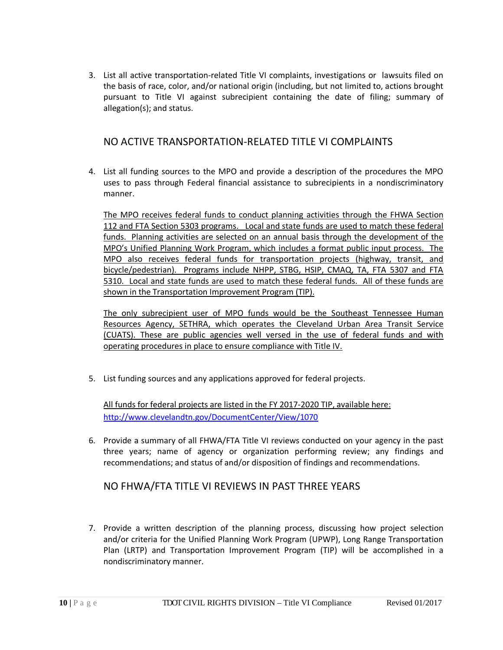3. List all active transportation-related Title VI complaints, investigations or lawsuits filed on the basis of race, color, and/or national origin (including, but not limited to, actions brought pursuant to Title VI against subrecipient containing the date of filing; summary of allegation(s); and status.

## NO ACTIVE TRANSPORTATION-RELATED TITLE VI COMPLAINTS

4. List all funding sources to the MPO and provide a description of the procedures the MPO uses to pass through Federal financial assistance to subrecipients in a nondiscriminatory manner.

The MPO receives federal funds to conduct planning activities through the FHWA Section 112 and FTA Section 5303 programs. Local and state funds are used to match these federal funds. Planning activities are selected on an annual basis through the development of the MPO's Unified Planning Work Program, which includes a format public input process. The MPO also receives federal funds for transportation projects (highway, transit, and bicycle/pedestrian). Programs include NHPP, STBG, HSIP, CMAQ, TA, FTA 5307 and FTA 5310. Local and state funds are used to match these federal funds. All of these funds are shown in the Transportation Improvement Program (TIP).

The only subrecipient user of MPO funds would be the Southeast Tennessee Human Resources Agency, SETHRA, which operates the Cleveland Urban Area Transit Service (CUATS). These are public agencies well versed in the use of federal funds and with operating procedures in place to ensure compliance with Title IV.

5. List funding sources and any applications approved for federal projects.

All funds for federal projects are listed in the FY 2017-2020 TIP, available here: <http://www.clevelandtn.gov/DocumentCenter/View/1070>

6. Provide a summary of all FHWA/FTA Title VI reviews conducted on your agency in the past three years; name of agency or organization performing review; any findings and recommendations; and status of and/or disposition of findings and recommendations.

## NO FHWA/FTA TITLE VI REVIEWS IN PAST THREE YEARS

7. Provide a written description of the planning process, discussing how project selection and/or criteria for the Unified Planning Work Program (UPWP), Long Range Transportation Plan (LRTP) and Transportation Improvement Program (TIP) will be accomplished in a nondiscriminatory manner.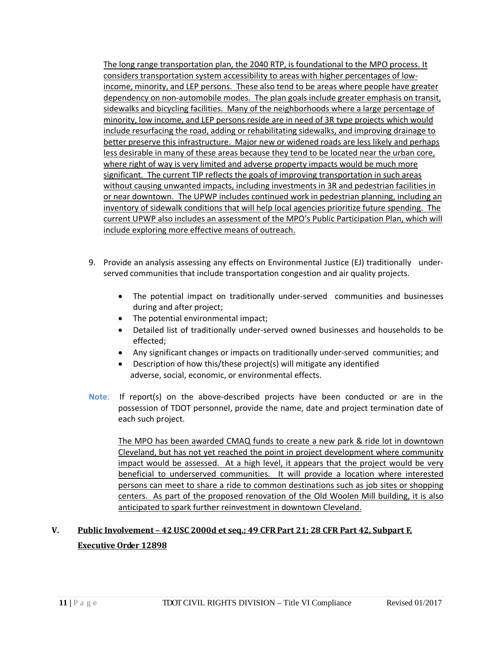The long range transportation plan, the 2040 RTP, is foundational to the MPO process. It considers transportation system accessibility to areas with higher percentages of lowincome, minority, and LEP persons. These also tend to be areas where people have greater dependency on non-automobile modes. The plan goals include greater emphasis on transit, sidewalks and bicycling facilities. Many of the neighborhoods where a large percentage of minority, low income, and LEP persons reside are in need of 3R type projects which would include resurfacing the road, adding or rehabilitating sidewalks, and improving drainage to better preserve this infrastructure. Major new or widened roads are less likely and perhaps less desirable in many of these areas because they tend to be located near the urban core, where right of way is very limited and adverse property impacts would be much more significant. The current TIP reflects the goals of improving transportation in such areas without causing unwanted impacts, including investments in 3R and pedestrian facilities in or near downtown. The UPWP includes continued work in pedestrian planning, including an inventory of sidewalk conditions that will help local agencies prioritize future spending. The current UPWP also includes an assessment of the MPO's Public Participation Plan, which will include exploring more effective means of outreach.

- 9. Provide an analysis assessing any effects on Environmental Justice (EJ) traditionally underserved communities that include transportation congestion and air quality projects.
	- The potential impact on traditionally under-served communities and businesses during and after project;
	- The potential environmental impact;
	- Detailed list of traditionally under-served owned businesses and households to be effected;
	- Any significant changes or impacts on traditionally under-served communities; and
	- Description of how this/these project(s) will mitigate any identified adverse, social, economic, or environmental effects.
- **Note**: If report(s) on the above-described projects have been conducted or are in the possession of TDOT personnel, provide the name, date and project termination date of each such project.

The MPO has been awarded CMAQ funds to create a new park & ride lot in downtown Cleveland, but has not yet reached the point in project development where community impact would be assessed. At a high level, it appears that the project would be very beneficial to underserved communities. It will provide a location where interested persons can meet to share a ride to common destinations such as job sites or shopping centers. As part of the proposed renovation of the Old Woolen Mill building, it is also anticipated to spark further reinvestment in downtown Cleveland.

# **V. Public Involvement – 42 USC 2000d et seq.; 49 CFR Part 21; 28 CFR Part 42, Subpart F, Executive Order 12898**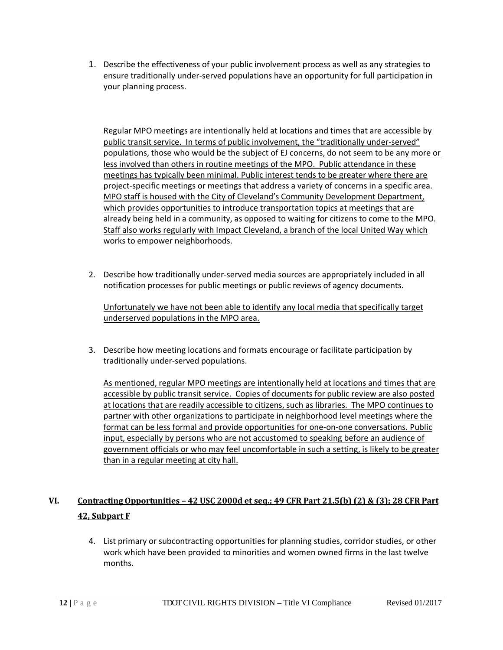1. Describe the effectiveness of your public involvement process as well as any strategies to ensure traditionally under-served populations have an opportunity for full participation in your planning process.

Regular MPO meetings are intentionally held at locations and times that are accessible by public transit service. In terms of public involvement, the "traditionally under-served" populations, those who would be the subject of EJ concerns, do not seem to be any more or less involved than others in routine meetings of the MPO. Public attendance in these meetings has typically been minimal. Public interest tends to be greater where there are project-specific meetings or meetings that address a variety of concerns in a specific area. MPO staff is housed with the City of Cleveland's Community Development Department, which provides opportunities to introduce transportation topics at meetings that are already being held in a community, as opposed to waiting for citizens to come to the MPO. Staff also works regularly with Impact Cleveland, a branch of the local United Way which works to empower neighborhoods.

2. Describe how traditionally under-served media sources are appropriately included in all notification processes for public meetings or public reviews of agency documents.

Unfortunately we have not been able to identify any local media that specifically target underserved populations in the MPO area.

3. Describe how meeting locations and formats encourage or facilitate participation by traditionally under-served populations.

As mentioned, regular MPO meetings are intentionally held at locations and times that are accessible by public transit service. Copies of documents for public review are also posted at locations that are readily accessible to citizens, such as libraries. The MPO continues to partner with other organizations to participate in neighborhood level meetings where the format can be less formal and provide opportunities for one-on-one conversations. Public input, especially by persons who are not accustomed to speaking before an audience of government officials or who may feel uncomfortable in such a setting, is likely to be greater than in a regular meeting at city hall.

# **VI. Contracting Opportunities – 42 USC 2000d et seq.; 49 CFR Part 21.5(b) (2) & (3); 28 CFR Part 42, Subpart F**

4. List primary or subcontracting opportunities for planning studies, corridor studies, or other work which have been provided to minorities and women owned firms in the last twelve months.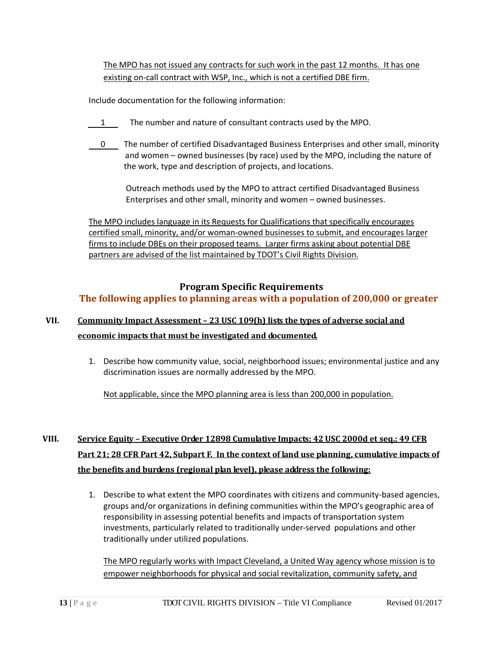The MPO has not issued any contracts for such work in the past 12 months. It has one existing on-call contract with WSP, Inc., which is not a certified DBE firm.

Include documentation for the following information:

- 1 The number and nature of consultant contracts used by the MPO.
- 0 The number of certified Disadvantaged Business Enterprises and other small, minority and women – owned businesses (by race) used by the MPO, including the nature of the work, type and description of projects, and locations.

 Outreach methods used by the MPO to attract certified Disadvantaged Business Enterprises and other small, minority and women – owned businesses.

The MPO includes language in its Requests for Qualifications that specifically encourages certified small, minority, and/or woman-owned businesses to submit, and encourages larger firms to include DBEs on their proposed teams. Larger firms asking about potential DBE partners are advised of the list maintained by TDOT's Civil Rights Division.

## **Program Specific Requirements The following applies to planning areas with a population of 200,000 or greater**

## **VII. Community Impact Assessment – 23 USC 109(h) lists the types of adverse social and economic impacts that must be investigated and documented.**

1. Describe how community value, social, neighborhood issues; environmental justice and any discrimination issues are normally addressed by the MPO.

Not applicable, since the MPO planning area is less than 200,000 in population.

# **VIII. Service Equity – Executive Order 12898 Cumulative Impacts; 42 USC 2000d et seq.; 49 CFR Part 21; 28 CFR Part 42, Subpart F. In the context of land use planning, cumulative impacts of the benefits and burdens (regional plan level), please address the following:**

1. Describe to what extent the MPO coordinates with citizens and community-based agencies, groups and/or organizations in defining communities within the MPO's geographic area of responsibility in assessing potential benefits and impacts of transportation system investments, particularly related to traditionally under-served populations and other traditionally under utilized populations.

The MPO regularly works with Impact Cleveland, a United Way agency whose mission is to empower neighborhoods for physical and social revitalization, community safety, and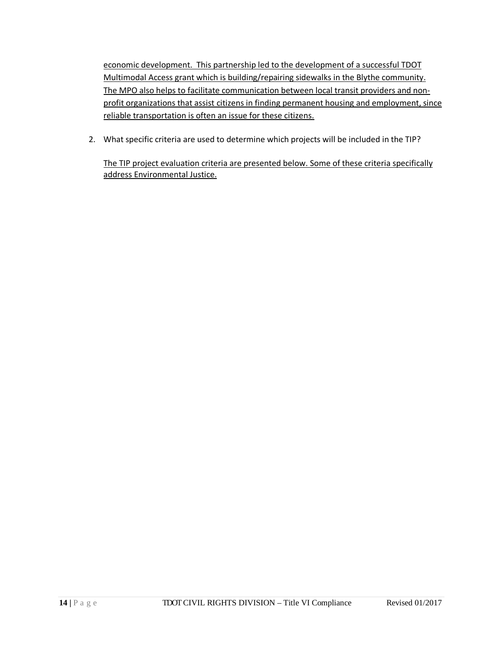economic development. This partnership led to the development of a successful TDOT Multimodal Access grant which is building/repairing sidewalks in the Blythe community. The MPO also helps to facilitate communication between local transit providers and nonprofit organizations that assist citizens in finding permanent housing and employment, since reliable transportation is often an issue for these citizens.

2. What specific criteria are used to determine which projects will be included in the TIP?

The TIP project evaluation criteria are presented below. Some of these criteria specifically address Environmental Justice.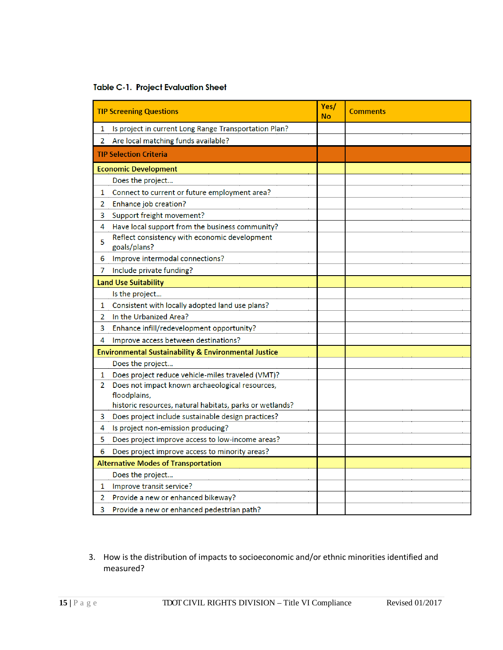|  | <b>Table C-1. Project Evaluation Sheet</b> |  |
|--|--------------------------------------------|--|
|  |                                            |  |

|                | <b>TIP Screening Questions</b>                                                                                              | Yes/<br>No | <b>Comments</b> |
|----------------|-----------------------------------------------------------------------------------------------------------------------------|------------|-----------------|
| 1              | Is project in current Long Range Transportation Plan?                                                                       |            |                 |
| 2              | Are local matching funds available?                                                                                         |            |                 |
|                | <b>TIP Selection Criteria</b>                                                                                               |            |                 |
|                | <b>Economic Development</b>                                                                                                 |            |                 |
|                | Does the project                                                                                                            |            |                 |
| 1              | Connect to current or future employment area?                                                                               |            |                 |
| 2              | Enhance job creation?                                                                                                       |            |                 |
| 3              | Support freight movement?                                                                                                   |            |                 |
| 4              | Have local support from the business community?                                                                             |            |                 |
| 5              | Reflect consistency with economic development<br>goals/plans?                                                               |            |                 |
| 6              | Improve intermodal connections?                                                                                             |            |                 |
| 7              | Include private funding?                                                                                                    |            |                 |
|                | <b>Land Use Suitability</b>                                                                                                 |            |                 |
|                | Is the project                                                                                                              |            |                 |
| 1              | Consistent with locally adopted land use plans?                                                                             |            |                 |
| $\overline{2}$ | In the Urbanized Area?                                                                                                      |            |                 |
| 3              | Enhance infill/redevelopment opportunity?                                                                                   |            |                 |
| 4              | Improve access between destinations?                                                                                        |            |                 |
|                | <b>Environmental Sustainability &amp; Environmental Justice</b>                                                             |            |                 |
|                | Does the project                                                                                                            |            |                 |
| $\mathbf{1}$   | Does project reduce vehicle-miles traveled (VMT)?                                                                           |            |                 |
| 2              | Does not impact known archaeological resources,<br>floodplains,<br>historic resources, natural habitats, parks or wetlands? |            |                 |
| 3              | Does project include sustainable design practices?                                                                          |            |                 |
| 4              | Is project non-emission producing?                                                                                          |            |                 |
| 5              | Does project improve access to low-income areas?                                                                            |            |                 |
| 6              | Does project improve access to minority areas?                                                                              |            |                 |
|                | <b>Alternative Modes of Transportation</b>                                                                                  |            |                 |
|                | Does the project                                                                                                            |            |                 |
| 1              | Improve transit service?                                                                                                    |            |                 |
| 2              | Provide a new or enhanced bikeway?                                                                                          |            |                 |
| 3              | Provide a new or enhanced pedestrian path?                                                                                  |            |                 |

3. How is the distribution of impacts to socioeconomic and/or ethnic minorities identified and measured?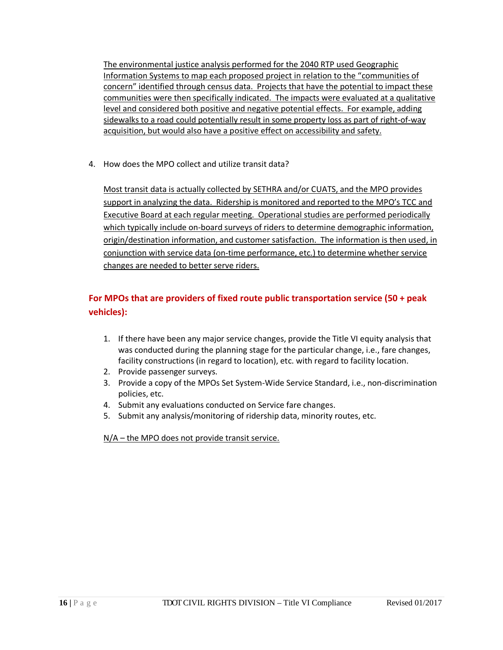The environmental justice analysis performed for the 2040 RTP used Geographic Information Systems to map each proposed project in relation to the "communities of concern" identified through census data. Projects that have the potential to impact these communities were then specifically indicated. The impacts were evaluated at a qualitative level and considered both positive and negative potential effects. For example, adding sidewalks to a road could potentially result in some property loss as part of right-of-way acquisition, but would also have a positive effect on accessibility and safety.

4. How does the MPO collect and utilize transit data?

Most transit data is actually collected by SETHRA and/or CUATS, and the MPO provides support in analyzing the data. Ridership is monitored and reported to the MPO's TCC and Executive Board at each regular meeting. Operational studies are performed periodically which typically include on-board surveys of riders to determine demographic information, origin/destination information, and customer satisfaction. The information is then used, in conjunction with service data (on-time performance, etc.) to determine whether service changes are needed to better serve riders.

## **For MPOs that are providers of fixed route public transportation service (50 + peak vehicles):**

- 1. If there have been any major service changes, provide the Title VI equity analysis that was conducted during the planning stage for the particular change, i.e., fare changes, facility constructions (in regard to location), etc. with regard to facility location.
- 2. Provide passenger surveys.
- 3. Provide a copy of the MPOs Set System-Wide Service Standard, i.e., non-discrimination policies, etc.
- 4. Submit any evaluations conducted on Service fare changes.
- 5. Submit any analysis/monitoring of ridership data, minority routes, etc.

N/A – the MPO does not provide transit service.